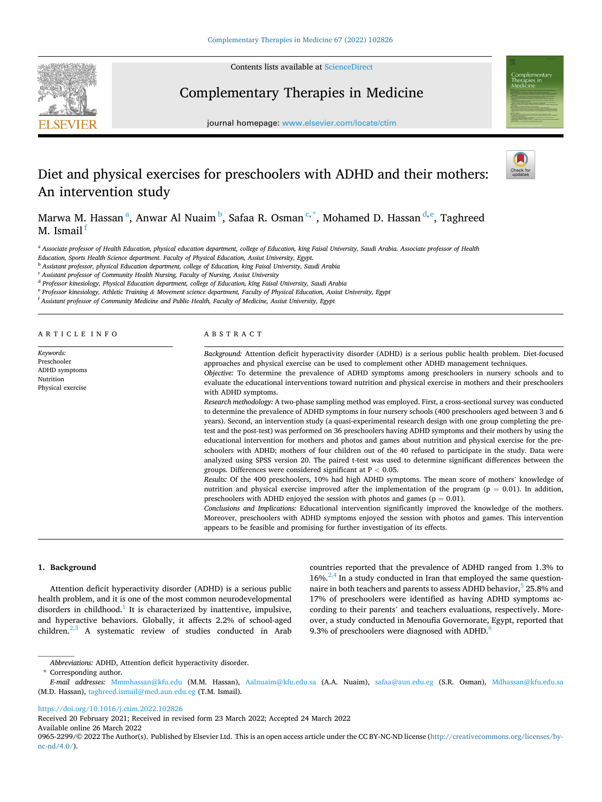

Contents lists available at [ScienceDirect](www.sciencedirect.com/science/journal/09652299)

# Complementary Therapies in Medicine



journal homepage: [www.elsevier.com/locate/ctim](https://www.elsevier.com/locate/ctim) 

# Diet and physical exercises for preschoolers with ADHD and their mothers: An intervention study



Marwa M. Hassan $^{\rm a}$ , Anwar Al Nuaim $^{\rm b}$ , Safaa R. Osman $^{\rm c,*}$ , Mohamed D. Hassan $^{\rm d,e}$ , Taghreed M. Ismail $\frac{1}{1}$ 

<sup>a</sup> Associate professor of Health Education, physical education department, college of Education, king Faisal University, Saudi Arabia. Associate professor of Health

*Education, Sports Health Science department. Faculty of Physical Education, Assiut University, Egypt.* 

<sup>b</sup> *Assistant professor, physical Education department, college of Education, king Faisal University, Saudi Arabia* 

<sup>c</sup> *Assistant professor of Community Health Nursing, Faculty of Nursing, Assiut University* 

<sup>d</sup> *Professor kinesiology, Physical Education department, college of Education, king Faisal University, Saudi Arabia* 

<sup>e</sup> *Professor kinesiology, Athletic Training & Movement science department, Faculty of Physical Education, Assiut University, Egypt* 

<sup>f</sup> *Assistant professor of Community Medicine and Public Health, Faculty of Medicine, Assiut University, Egypt* 

ARTICLE INFO

*Keywords:*  Preschooler ADHD symptoms Nutrition Physical exercise

ABSTRACT

*Background:* Attention deficit hyperactivity disorder (ADHD) is a serious public health problem. Diet-focused approaches and physical exercise can be used to complement other ADHD management techniques. *Objective:* To determine the prevalence of ADHD symptoms among preschoolers in nursery schools and to evaluate the educational interventions toward nutrition and physical exercise in mothers and their preschoolers with ADHD symptoms.

*Research methodology:* A two-phase sampling method was employed. First, a cross-sectional survey was conducted to determine the prevalence of ADHD symptoms in four nursery schools (400 preschoolers aged between 3 and 6 years). Second, an intervention study (a quasi-experimental research design with one group completing the pretest and the post-test) was performed on 36 preschoolers having ADHD symptoms and their mothers by using the educational intervention for mothers and photos and games about nutrition and physical exercise for the preschoolers with ADHD; mothers of four children out of the 40 refused to participate in the study. Data were analyzed using SPSS version 20. The paired t-test was used to determine significant differences between the groups. Differences were considered significant at P *<* 0.05.

*Results:* Of the 400 preschoolers, 10% had high ADHD symptoms. The mean score of mothers' knowledge of nutrition and physical exercise improved after the implementation of the program ( $p = 0.01$ ). In addition, preschoolers with ADHD enjoyed the session with photos and games ( $p = 0.01$ ).

*Conclusions and Implications:* Educational intervention significantly improved the knowledge of the mothers. Moreover, preschoolers with ADHD symptoms enjoyed the session with photos and games. This intervention appears to be feasible and promising for further investigation of its effects.

## **1. Background**

Attention deficit hyperactivity disorder (ADHD) is a serious public health problem, and it is one of the most common neurodevelopmental disorders in childhood.<sup>1</sup> It is characterized by inattentive, impulsive, and hyperactive behaviors. Globally, it affects 2.2% of school-aged children.<sup>2,3</sup> A systematic review of studies conducted in Arab

countries reported that the prevalence of ADHD ranged from 1.3% to  $16\%$ .<sup>2,4</sup> In a study conducted in Iran that employed the same questionnaire in both teachers and parents to assess ADHD behavior,<sup>5</sup> 25.8% and 17% of preschoolers were identified as having ADHD symptoms according to their parents' and teachers evaluations, respectively. Moreover, a study conducted in Menoufia Governorate, Egypt, reported that 9.3% of preschoolers were diagnosed with ADHD.<sup>6</sup>

\* Corresponding author.

Received 20 February 2021; Received in revised form 23 March 2022; Accepted 24 March 2022

Available online 26 March 2022

*Abbreviations:* ADHD, Attention deficit hyperactivity disorder.

*E-mail addresses:* [Mmmhassan@kfu.edu](mailto:Mmmhassan@kfu.edu) (M.M. Hassan), [Aalnuaim@kfu.edu.sa](mailto:Aalnuaim@kfu.edu.sa) (A.A. Nuaim), [safaa@aun.edu.eg](mailto:safaa@aun.edu.eg) (S.R. Osman), [Mdhassan@kfu.edu.sa](mailto:Mdhassan@kfu.edu.sa)  (M.D. Hassan), [taghreed.ismail@med.aun.edu.eg](mailto:taghreed.ismail@med.aun.edu.eg) (T.M. Ismail).

<https://doi.org/10.1016/j.ctim.2022.102826>

<sup>0965-2299/© 2022</sup> The Author(s). Published by Elsevier Ltd. This is an open access article under the CC BY-NC-ND license([http://creativecommons.org/licenses/by](http://creativecommons.org/licenses/by-nc-nd/4.0/) $nc\text{-}nd/4.0/$ ).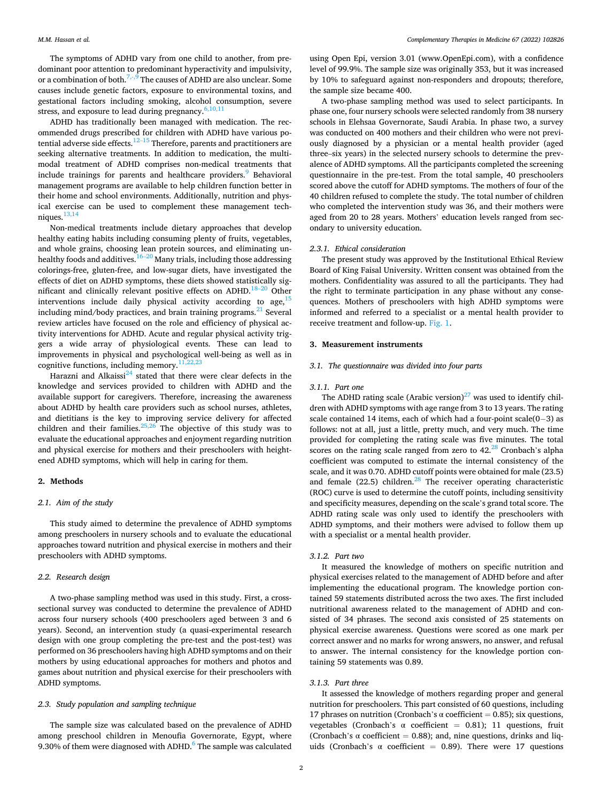The symptoms of ADHD vary from one child to another, from predominant poor attention to predominant hyperactivity and impulsivity, or a combination of both.<sup>7,-,9</sup> The causes of ADHD are also unclear. Some causes include genetic factors, exposure to environmental toxins, and gestational factors including smoking, alcohol consumption, severe stress, and exposure to lead during pregnancy. $6,10,11$ 

ADHD has traditionally been managed with medication. The recommended drugs prescribed for children with ADHD have various potential adverse side effects.<sup>12–15</sup> Therefore, parents and practitioners are seeking alternative treatments. In addition to medication, the multimodal treatment of ADHD comprises non-medical treatments that include trainings for parents and healthcare providers.<sup>9</sup> Behavioral management programs are available to help children function better in their home and school environments. Additionally, nutrition and physical exercise can be used to complement these management techniques. $13,14$ 

Non-medical treatments include dietary approaches that develop healthy eating habits including consuming plenty of fruits, vegetables, and whole grains, choosing lean protein sources, and eliminating unhealthy foods and additives.<sup>16–20</sup> Many trials, including those addressing colorings-free, gluten-free, and low-sugar diets, have investigated the effects of diet on ADHD symptoms, these diets showed statistically significant and clinically relevant positive effects on ADHD.<sup>18–20</sup> Other interventions include daily physical activity according to age,  $15$ including mind/body practices, and brain training programs. $^{21}$  Several review articles have focused on the role and efficiency of physical activity interventions for ADHD. Acute and regular physical activity triggers a wide array of physiological events. These can lead to improvements in physical and psychological well-being as well as in cognitive functions, including memory. $\frac{11}{2}$ 

Harazni and Alkaissi $^{24}$  stated that there were clear defects in the knowledge and services provided to children with ADHD and the available support for caregivers. Therefore, increasing the awareness about ADHD by health care providers such as school nurses, athletes, and dietitians is the key to improving service delivery for affected children and their families. $25,26$  The objective of this study was to evaluate the educational approaches and enjoyment regarding nutrition and physical exercise for mothers and their preschoolers with heightened ADHD symptoms, which will help in caring for them.

# **2. Methods**

## *2.1. Aim of the study*

This study aimed to determine the prevalence of ADHD symptoms among preschoolers in nursery schools and to evaluate the educational approaches toward nutrition and physical exercise in mothers and their preschoolers with ADHD symptoms.

#### *2.2. Research design*

A two-phase sampling method was used in this study. First, a crosssectional survey was conducted to determine the prevalence of ADHD across four nursery schools (400 preschoolers aged between 3 and 6 years). Second, an intervention study (a quasi-experimental research design with one group completing the pre-test and the post-test) was performed on 36 preschoolers having high ADHD symptoms and on their mothers by using educational approaches for mothers and photos and games about nutrition and physical exercise for their preschoolers with ADHD symptoms.

# *2.3. Study population and sampling technique*

The sample size was calculated based on the prevalence of ADHD among preschool children in Menoufia Governorate, Egypt, where 9.30% of them were diagnosed with ADHD. $6$  The sample was calculated

using Open Epi, version 3.01 (www.OpenEpi.com), with a confidence level of 99.9%. The sample size was originally 353, but it was increased by 10% to safeguard against non-responders and dropouts; therefore, the sample size became 400.

A two-phase sampling method was used to select participants. In phase one, four nursery schools were selected randomly from 38 nursery schools in Elehsaa Governorate, Saudi Arabia. In phase two, a survey was conducted on 400 mothers and their children who were not previously diagnosed by a physician or a mental health provider (aged three–six years) in the selected nursery schools to determine the prevalence of ADHD symptoms. All the participants completed the screening questionnaire in the pre-test. From the total sample, 40 preschoolers scored above the cutoff for ADHD symptoms. The mothers of four of the 40 children refused to complete the study. The total number of children who completed the intervention study was 36, and their mothers were aged from 20 to 28 years. Mothers' education levels ranged from secondary to university education.

# *2.3.1. Ethical consideration*

The present study was approved by the Institutional Ethical Review Board of King Faisal University. Written consent was obtained from the mothers. Confidentiality was assured to all the participants. They had the right to terminate participation in any phase without any consequences. Mothers of preschoolers with high ADHD symptoms were informed and referred to a specialist or a mental health provider to receive treatment and follow-up. [Fig. 1.](#page-2-0)

# **3. Measurement instruments**

# *3.1. The questionnaire was divided into four parts*

## *3.1.1. Part one*

The ADHD rating scale (Arabic version) $^{27}$  was used to identify children with ADHD symptoms with age range from 3 to 13 years. The rating scale contained 14 items, each of which had a four-point scale(0–3) as follows: not at all, just a little, pretty much, and very much. The time provided for completing the rating scale was five minutes. The total scores on the rating scale ranged from zero to  $42<sup>28</sup>$  Cronbach's alpha coefficient was computed to estimate the internal consistency of the scale, and it was 0.70. ADHD cutoff points were obtained for male (23.5) and female  $(22.5)$  children.<sup>28</sup> The receiver operating characteristic (ROC) curve is used to determine the cutoff points, including sensitivity and specificity measures, depending on the scale's grand total score. The ADHD rating scale was only used to identify the preschoolers with ADHD symptoms, and their mothers were advised to follow them up with a specialist or a mental health provider.

## *3.1.2. Part two*

It measured the knowledge of mothers on specific nutrition and physical exercises related to the management of ADHD before and after implementing the educational program. The knowledge portion contained 59 statements distributed across the two axes. The first included nutritional awareness related to the management of ADHD and consisted of 34 phrases. The second axis consisted of 25 statements on physical exercise awareness. Questions were scored as one mark per correct answer and no marks for wrong answers, no answer, and refusal to answer. The internal consistency for the knowledge portion containing 59 statements was 0.89.

#### *3.1.3. Part three*

It assessed the knowledge of mothers regarding proper and general nutrition for preschoolers. This part consisted of 60 questions, including 17 phrases on nutrition (Cronbach's  $\alpha$  coefficient = 0.85); six questions, vegetables (Cronbach's  $\alpha$  coefficient = 0.81); 11 questions, fruit (Cronbach's  $\alpha$  coefficient = 0.88); and, nine questions, drinks and liquids (Cronbach's  $\alpha$  coefficient = 0.89). There were 17 questions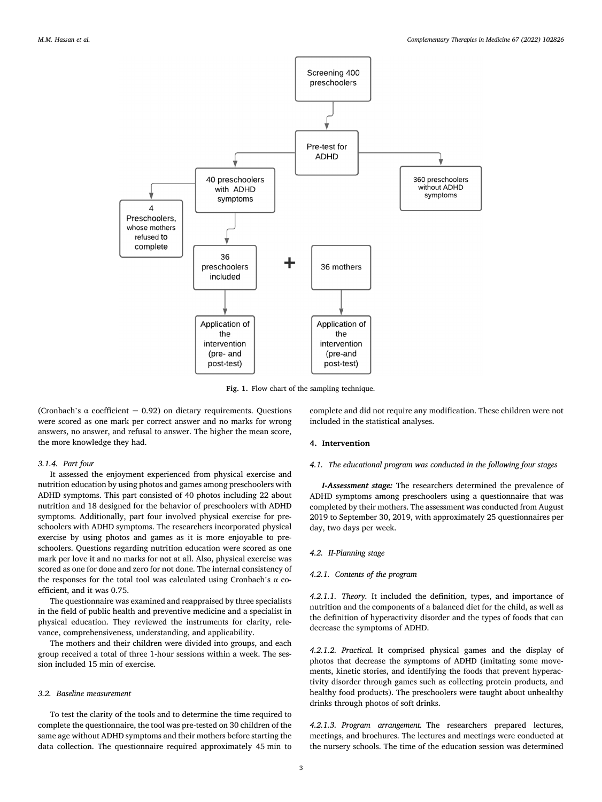<span id="page-2-0"></span>

**Fig. 1.** Flow chart of the sampling technique.

(Cronbach's  $\alpha$  coefficient = 0.92) on dietary requirements. Questions were scored as one mark per correct answer and no marks for wrong answers, no answer, and refusal to answer. The higher the mean score, the more knowledge they had.

## *3.1.4. Part four*

It assessed the enjoyment experienced from physical exercise and nutrition education by using photos and games among preschoolers with ADHD symptoms. This part consisted of 40 photos including 22 about nutrition and 18 designed for the behavior of preschoolers with ADHD symptoms. Additionally, part four involved physical exercise for preschoolers with ADHD symptoms. The researchers incorporated physical exercise by using photos and games as it is more enjoyable to preschoolers. Questions regarding nutrition education were scored as one mark per love it and no marks for not at all. Also, physical exercise was scored as one for done and zero for not done. The internal consistency of the responses for the total tool was calculated using Cronbach's α coefficient, and it was 0.75.

The questionnaire was examined and reappraised by three specialists in the field of public health and preventive medicine and a specialist in physical education. They reviewed the instruments for clarity, relevance, comprehensiveness, understanding, and applicability.

The mothers and their children were divided into groups, and each group received a total of three 1-hour sessions within a week. The session included 15 min of exercise.

# *3.2. Baseline measurement*

To test the clarity of the tools and to determine the time required to complete the questionnaire, the tool was pre-tested on 30 children of the same age without ADHD symptoms and their mothers before starting the data collection. The questionnaire required approximately 45 min to

complete and did not require any modification. These children were not included in the statistical analyses.

## **4. Intervention**

# *4.1. The educational program was conducted in the following four stages*

*I-Assessment stage:* The researchers determined the prevalence of ADHD symptoms among preschoolers using a questionnaire that was completed by their mothers. The assessment was conducted from August 2019 to September 30, 2019, with approximately 25 questionnaires per day, two days per week.

# *4.2. II-Planning stage*

# *4.2.1. Contents of the program*

*4.2.1.1. Theory.* It included the definition, types, and importance of nutrition and the components of a balanced diet for the child, as well as the definition of hyperactivity disorder and the types of foods that can decrease the symptoms of ADHD.

*4.2.1.2. Practical.* It comprised physical games and the display of photos that decrease the symptoms of ADHD (imitating some movements, kinetic stories, and identifying the foods that prevent hyperactivity disorder through games such as collecting protein products, and healthy food products). The preschoolers were taught about unhealthy drinks through photos of soft drinks.

*4.2.1.3. Program arrangement.* The researchers prepared lectures, meetings, and brochures. The lectures and meetings were conducted at the nursery schools. The time of the education session was determined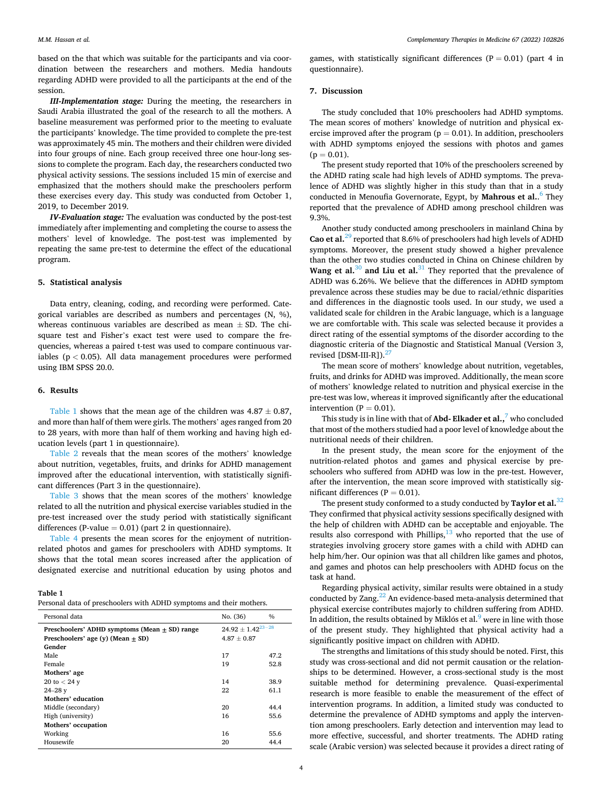based on the that which was suitable for the participants and via coordination between the researchers and mothers. Media handouts regarding ADHD were provided to all the participants at the end of the session.

*III-Implementation stage:* During the meeting, the researchers in Saudi Arabia illustrated the goal of the research to all the mothers. A baseline measurement was performed prior to the meeting to evaluate the participants' knowledge. The time provided to complete the pre-test was approximately 45 min. The mothers and their children were divided into four groups of nine. Each group received three one hour-long sessions to complete the program. Each day, the researchers conducted two physical activity sessions. The sessions included 15 min of exercise and emphasized that the mothers should make the preschoolers perform these exercises every day. This study was conducted from October 1, 2019, to December 2019.

*IV-Evaluation stage:* The evaluation was conducted by the post-test immediately after implementing and completing the course to assess the mothers' level of knowledge. The post-test was implemented by repeating the same pre-test to determine the effect of the educational program.

# **5. Statistical analysis**

Data entry, cleaning, coding, and recording were performed. Categorical variables are described as numbers and percentages (N, %), whereas continuous variables are described as mean  $\pm$  SD. The chisquare test and Fisher's exact test were used to compare the frequencies, whereas a paired t-test was used to compare continuous variables (p *<* 0.05). All data management procedures were performed using IBM SPSS 20.0.

#### **6. Results**

Table 1 shows that the mean age of the children was  $4.87 \pm 0.87$ , and more than half of them were girls. The mothers' ages ranged from 20 to 28 years, with more than half of them working and having high education levels (part 1 in questionnaire).

[Table 2](#page-4-0) reveals that the mean scores of the mothers' knowledge about nutrition, vegetables, fruits, and drinks for ADHD management improved after the educational intervention, with statistically significant differences (Part 3 in the questionnaire).

[Table 3](#page-4-0) shows that the mean scores of the mothers' knowledge related to all the nutrition and physical exercise variables studied in the pre-test increased over the study period with statistically significant differences (P-value  $= 0.01$ ) (part 2 in questionnaire).

[Table 4](#page-4-0) presents the mean scores for the enjoyment of nutritionrelated photos and games for preschoolers with ADHD symptoms. It shows that the total mean scores increased after the application of designated exercise and nutritional education by using photos and

# **Table 1**

|  |  |  | Personal data of preschoolers with ADHD symptoms and their mothers. |  |  |  |  |  |  |  |  |  |
|--|--|--|---------------------------------------------------------------------|--|--|--|--|--|--|--|--|--|
|--|--|--|---------------------------------------------------------------------|--|--|--|--|--|--|--|--|--|

| Personal data                                 | No. (36)                 | $\%$ |  |  |
|-----------------------------------------------|--------------------------|------|--|--|
| Preschoolers' ADHD symptoms (Mean + SD) range | $24.92 \pm 1.42^{23-28}$ |      |  |  |
| Preschoolers' age $(v)$ (Mean $+$ SD)         | $4.87 \pm 0.87$          |      |  |  |
| Gender                                        |                          |      |  |  |
| Male                                          | 17                       | 47.2 |  |  |
| Female                                        | 19                       | 52.8 |  |  |
| Mothers' age                                  |                          |      |  |  |
| 20 to $< 24$ y                                | 14                       | 38.9 |  |  |
| $24 - 28y$                                    | 22                       | 61.1 |  |  |
| Mothers' education                            |                          |      |  |  |
| Middle (secondary)                            | 20                       | 44.4 |  |  |
| High (university)                             | 16                       | 55.6 |  |  |
| Mothers' occupation                           |                          |      |  |  |
| Working                                       | 16                       | 55.6 |  |  |
| Housewife                                     | 20                       | 44.4 |  |  |

games, with statistically significant differences  $(P = 0.01)$  (part 4 in questionnaire).

# **7. Discussion**

The study concluded that 10% preschoolers had ADHD symptoms. The mean scores of mothers' knowledge of nutrition and physical exercise improved after the program ( $p = 0.01$ ). In addition, preschoolers with ADHD symptoms enjoyed the sessions with photos and games  $(p = 0.01)$ .

The present study reported that 10% of the preschoolers screened by the ADHD rating scale had high levels of ADHD symptoms. The prevalence of ADHD was slightly higher in this study than that in a study conducted in Menoufia Governorate, Egypt, by **Mahrous et al.**. [6 They](#page-5-0)  reported that the prevalence of ADHD among preschool children was 9.3%.

Another study conducted among preschoolers in mainland China by **Cao et al.**[29 reported that 8.6% of preschoolers had high levels of ADHD](#page-5-0)  symptoms. Moreover, the present study showed a higher prevalence than the other two studies conducted in China on Chinese children by Wang et al.<sup>30</sup> [and Liu et al.](#page-5-0)<sup>31</sup> They reported that the prevalence of ADHD was 6.26%. We believe that the differences in ADHD symptom prevalence across these studies may be due to racial/ethnic disparities and differences in the diagnostic tools used. In our study, we used a validated scale for children in the Arabic language, which is a language we are comfortable with. This scale was selected because it provides a direct rating of the essential symptoms of the disorder according to the diagnostic criteria of the Diagnostic and Statistical Manual (Version 3, revised  $[DSM-III-R]$ ).<sup>27</sup>

The mean score of mothers' knowledge about nutrition, vegetables, fruits, and drinks for ADHD was improved. Additionally, the mean score of mothers' knowledge related to nutrition and physical exercise in the pre-test was low, whereas it improved significantly after the educational intervention ( $P = 0.01$ ).

This study is in line with that of **Abd-Elkader et al.**,<sup>7</sup> who concluded that most of the mothers studied had a poor level of knowledge about the nutritional needs of their children.

In the present study, the mean score for the enjoyment of the nutrition-related photos and games and physical exercise by preschoolers who suffered from ADHD was low in the pre-test. However, after the intervention, the mean score improved with statistically significant differences ( $P = 0.01$ ).

The present study conformed to a study conducted by **Taylor et al.**[32](#page-5-0)  They confirmed that physical activity sessions specifically designed with the help of children with ADHD can be acceptable and enjoyable. The results also correspond with Phillips, $13$  who reported that the use of strategies involving grocery store games with a child with ADHD can help him/her. Our opinion was that all children like games and photos, and games and photos can help preschoolers with ADHD focus on the task at hand.

Regarding physical activity, similar results were obtained in a study conducted by Zang. $^{22}$  An evidence-based meta-analysis determined that physical exercise contributes majorly to children suffering from ADHD. In addition, the results obtained by Miklós et al. $9$  were in line with those of the present study. They highlighted that physical activity had a significantly positive impact on children with ADHD.

The strengths and limitations of this study should be noted. First, this study was cross-sectional and did not permit causation or the relationships to be determined. However, a cross-sectional study is the most suitable method for determining prevalence. Quasi-experimental research is more feasible to enable the measurement of the effect of intervention programs. In addition, a limited study was conducted to determine the prevalence of ADHD symptoms and apply the intervention among preschoolers. Early detection and intervention may lead to more effective, successful, and shorter treatments. The ADHD rating scale (Arabic version) was selected because it provides a direct rating of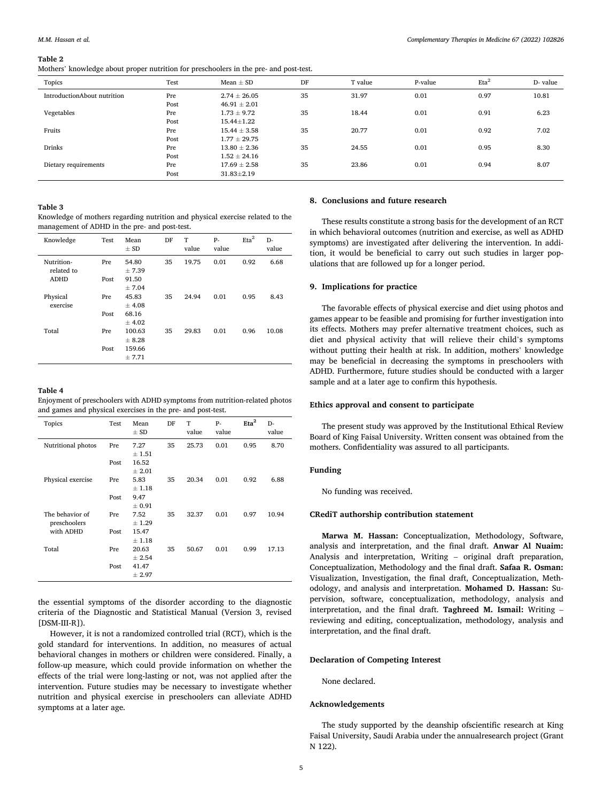#### <span id="page-4-0"></span>**Table 2**

Mothers' knowledge about proper nutrition for preschoolers in the pre- and post-test.

| Topics                      | Test | Mean $\pm$ SD    | DF | T value | P-value | $Eta^2$ | D- value |
|-----------------------------|------|------------------|----|---------|---------|---------|----------|
| IntroductionAbout nutrition | Pre  | $2.74 \pm 26.05$ | 35 | 31.97   | 0.01    | 0.97    | 10.81    |
|                             | Post | $46.91 \pm 2.01$ |    |         |         |         |          |
| Vegetables                  | Pre  | $1.73 \pm 9.72$  | 35 | 18.44   | 0.01    | 0.91    | 6.23     |
|                             | Post | $15.44 \pm 1.22$ |    |         |         |         |          |
| Fruits                      | Pre  | $15.44 \pm 3.58$ | 35 | 20.77   | 0.01    | 0.92    | 7.02     |
|                             | Post | $1.77 \pm 29.75$ |    |         |         |         |          |
| Drinks                      | Pre  | $13.80 \pm 2.36$ | 35 | 24.55   | 0.01    | 0.95    | 8.30     |
|                             | Post | $1.52 \pm 24.16$ |    |         |         |         |          |
| Dietary requirements        | Pre  | $17.69 \pm 2.58$ | 35 | 23.86   | 0.01    | 0.94    | 8.07     |
|                             | Post | $31.83 \pm 2.19$ |    |         |         |         |          |

#### **Table 3**

Knowledge of mothers regarding nutrition and physical exercise related to the management of ADHD in the pre- and post-test.

| Knowledge                | Test | Mean<br>$\pm$ SD | DF | T<br>value | p.<br>value | Eta <sup>2</sup> | D-<br>value |
|--------------------------|------|------------------|----|------------|-------------|------------------|-------------|
| Nutrition-<br>related to | Pre  | 54.80<br>$+7.39$ | 35 | 19.75      | 0.01        | 0.92             | 6.68        |
| <b>ADHD</b>              | Post | 91.50<br>± 7.04  |    |            |             |                  |             |
| Physical<br>exercise     | Pre  | 45.83<br>± 4.08  | 35 | 24.94      | 0.01        | 0.95             | 8.43        |
|                          | Post | 68.16<br>± 4.02  |    |            |             |                  |             |
| Total                    | Pre  | 100.63<br>± 8.28 | 35 | 29.83      | 0.01        | 0.96             | 10.08       |
|                          | Post | 159.66<br>± 7.71 |    |            |             |                  |             |

# **Table 4**

Enjoyment of preschoolers with ADHD symptoms from nutrition-related photos and games and physical exercises in the pre- and post-test.

| Topics                          | Test | Mean<br>$\pm$ SD   | DF | T<br>value | $P -$<br>value | Eta <sup>2</sup> | D-<br>value |
|---------------------------------|------|--------------------|----|------------|----------------|------------------|-------------|
| Nutritional photos              | Pre  | 7.27<br>± 1.51     | 35 | 25.73      | 0.01           | 0.95             | 8.70        |
|                                 | Post | 16.52<br>± 2.01    |    |            |                |                  |             |
| Physical exercise               | Pre  | 5.83<br>±1.18      | 35 | 20.34      | 0.01           | 0.92             | 6.88        |
|                                 | Post | 9.47<br>$\pm 0.91$ |    |            |                |                  |             |
| The behavior of<br>preschoolers | Pre  | 7.52<br>± 1.29     | 35 | 32.37      | 0.01           | 0.97             | 10.94       |
| with ADHD                       | Post | 15.47<br>±1.18     |    |            |                |                  |             |
| Total                           | Pre  | 20.63<br>± 2.54    | 35 | 50.67      | 0.01           | 0.99             | 17.13       |
|                                 | Post | 41.47<br>± 2.97    |    |            |                |                  |             |

the essential symptoms of the disorder according to the diagnostic criteria of the Diagnostic and Statistical Manual (Version 3, revised [DSM-III-R]).

However, it is not a randomized controlled trial (RCT), which is the gold standard for interventions. In addition, no measures of actual behavioral changes in mothers or children were considered. Finally, a follow-up measure, which could provide information on whether the effects of the trial were long-lasting or not, was not applied after the intervention. Future studies may be necessary to investigate whether nutrition and physical exercise in preschoolers can alleviate ADHD symptoms at a later age.

## **8. Conclusions and future research**

These results constitute a strong basis for the development of an RCT in which behavioral outcomes (nutrition and exercise, as well as ADHD symptoms) are investigated after delivering the intervention. In addition, it would be beneficial to carry out such studies in larger populations that are followed up for a longer period.

#### **9. Implications for practice**

The favorable effects of physical exercise and diet using photos and games appear to be feasible and promising for further investigation into its effects. Mothers may prefer alternative treatment choices, such as diet and physical activity that will relieve their child's symptoms without putting their health at risk. In addition, mothers' knowledge may be beneficial in decreasing the symptoms in preschoolers with ADHD. Furthermore, future studies should be conducted with a larger sample and at a later age to confirm this hypothesis.

## **Ethics approval and consent to participate**

The present study was approved by the Institutional Ethical Review Board of King Faisal University. Written consent was obtained from the mothers. Confidentiality was assured to all participants.

# **Funding**

No funding was received.

#### **CRediT authorship contribution statement**

**Marwa M. Hassan:** Conceptualization, Methodology, Software, analysis and interpretation, and the final draft. **Anwar Al Nuaim:**  Analysis and interpretation, Writing – original draft preparation, Conceptualization, Methodology and the final draft. **Safaa R. Osman:**  Visualization, Investigation, the final draft, Conceptualization, Methodology, and analysis and interpretation. **Mohamed D. Hassan:** Supervision, software, conceptualization, methodology, analysis and interpretation, and the final draft. **Taghreed M. Ismail:** Writing – reviewing and editing, conceptualization, methodology, analysis and interpretation, and the final draft.

## **Declaration of Competing Interest**

None declared.

# **Acknowledgements**

The study supported by the deanship ofscientific research at King Faisal University, Saudi Arabia under the annualresearch project (Grant N 122).